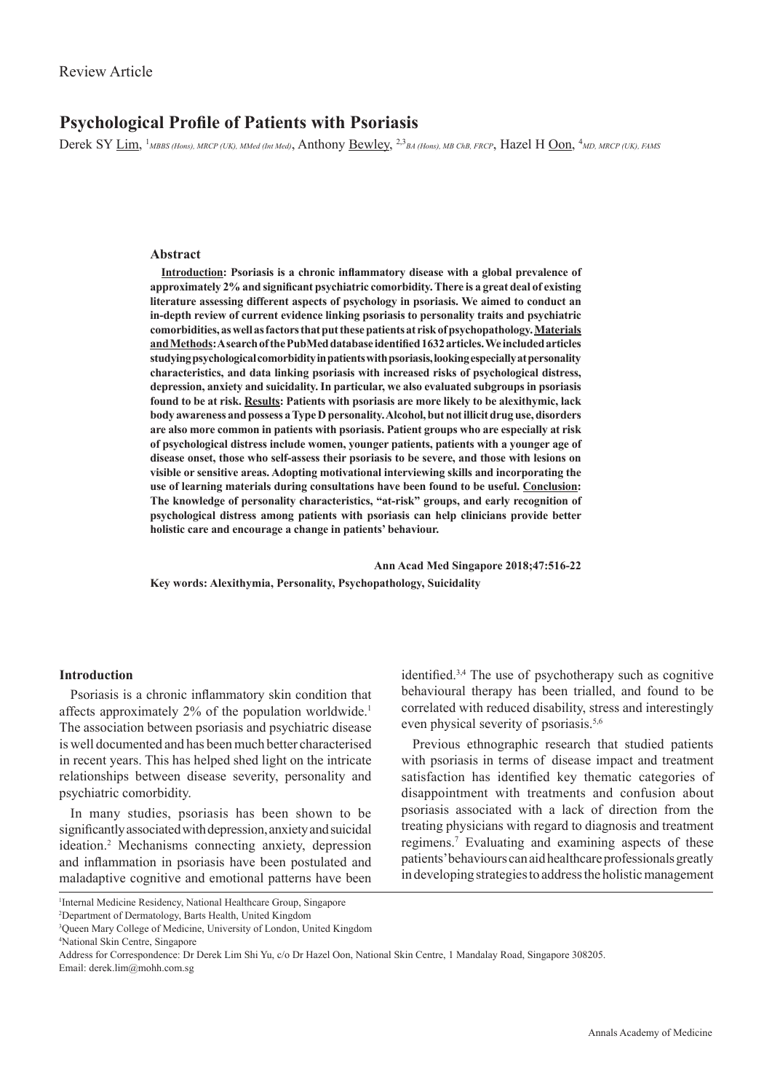# **Psychological Profile of Patients with Psoriasis**

Derek SY <u>Lim,</u> <sup>1</sup>*MBBS (Hons), MRCP (UK), MMed (Int Med)*, Anthony <u>Bewley</u>, <sup>2,3</sup>*BA (Hons), MB ChB, FRCP*, Hazel H <u>Oon</u>, <sup>4</sup>*MD, MRCP (UK), FAMS* 

#### **Abstract**

**Introduction: Psoriasis is a chronic inflammatory disease with a global prevalence of approximately 2% and significant psychiatric comorbidity. There is a great deal of existing literature assessing different aspects of psychology in psoriasis. We aimed to conduct an in-depth review of current evidence linking psoriasis to personality traits and psychiatric comorbidities, as well as factors that put these patients at risk of psychopathology. Materials and Methods: A search of the PubMed database identified 1632 articles. We included articles studying psychological comorbidity in patients with psoriasis, looking especially at personality characteristics, and data linking psoriasis with increased risks of psychological distress, depression, anxiety and suicidality. In particular, we also evaluated subgroups in psoriasis found to be at risk. Results: Patients with psoriasis are more likely to be alexithymic, lack body awareness and possess a Type D personality. Alcohol, but not illicit drug use, disorders are also more common in patients with psoriasis. Patient groups who are especially at risk of psychological distress include women, younger patients, patients with a younger age of disease onset, those who self-assess their psoriasis to be severe, and those with lesions on visible or sensitive areas. Adopting motivational interviewing skills and incorporating the use of learning materials during consultations have been found to be useful. Conclusion: The knowledge of personality characteristics, "at-risk" groups, and early recognition of psychological distress among patients with psoriasis can help clinicians provide better holistic care and encourage a change in patients' behaviour.**

 **Ann Acad Med Singapore 2018;47:516-22 Key words: Alexithymia, Personality, Psychopathology, Suicidality** 

## **Introduction**

Psoriasis is a chronic inflammatory skin condition that affects approximately 2% of the population worldwide.<sup>1</sup> The association between psoriasis and psychiatric disease is well documented and has been much better characterised in recent years. This has helped shed light on the intricate relationships between disease severity, personality and psychiatric comorbidity.

In many studies, psoriasis has been shown to be significantly associated with depression, anxiety and suicidal ideation.2 Mechanisms connecting anxiety, depression and inflammation in psoriasis have been postulated and maladaptive cognitive and emotional patterns have been

identified.3,4 The use of  psychotherapy such as cognitive behavioural therapy has been trialled, and found to be correlated with reduced disability, stress and interestingly even physical severity of psoriasis.<sup>5,6</sup>

Previous ethnographic research that studied patients with psoriasis in terms of disease impact and treatment satisfaction has identified key thematic categories of disappointment with treatments and confusion about psoriasis associated with a lack of direction from the treating physicians with regard to diagnosis and treatment regimens.7 Evaluating and examining aspects of these patients' behaviours can aid healthcare professionals greatly in developing strategies to address the holistic management

<sup>1</sup> Internal Medicine Residency, National Healthcare Group, Singapore

<sup>2</sup> Department of Dermatology, Barts Health, United Kingdom

<sup>3</sup> Queen Mary College of Medicine, University of London, United Kingdom

<sup>4</sup> National Skin Centre, Singapore

Address for Correspondence: Dr Derek Lim Shi Yu, c/o Dr Hazel Oon, National Skin Centre, 1 Mandalay Road, Singapore 308205. Email: derek.lim@mohh.com.sg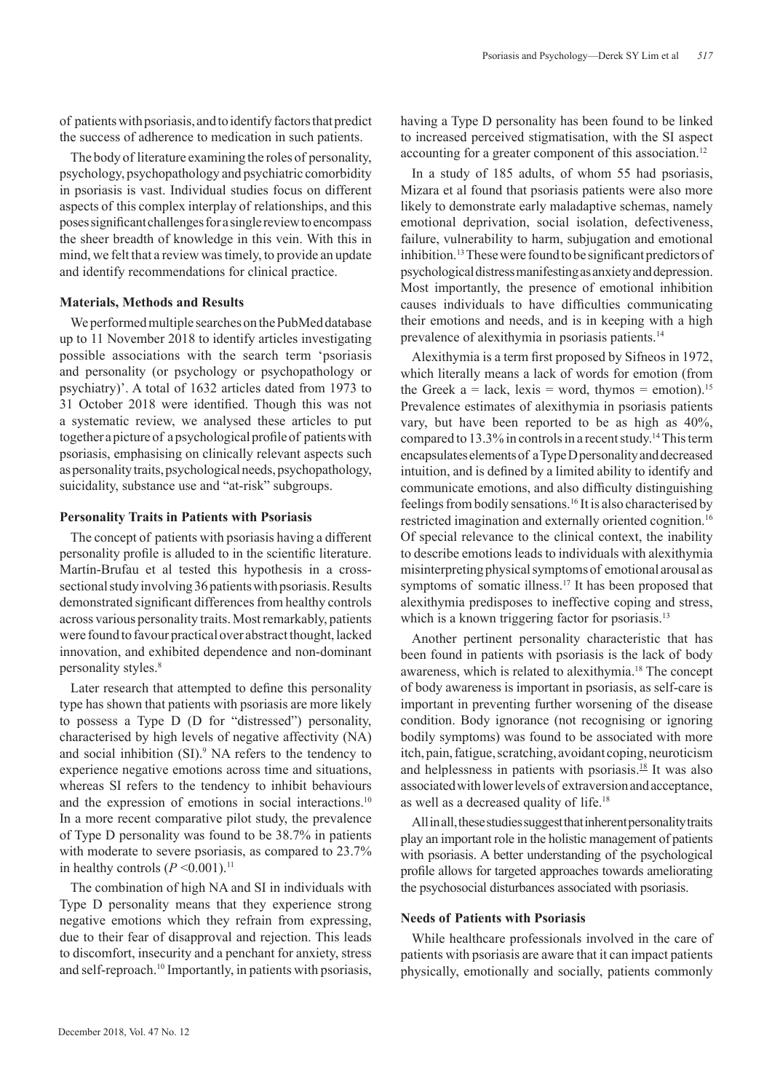of patients with psoriasis, and to identify factors that predict the success of adherence to medication in such patients.

The body of  literature examining the roles of  personality, psychology, psychopathology and psychiatric comorbidity in psoriasis is vast. Individual studies focus on different aspects of  this complex interplay of  relationships, and this poses significant challenges for a single review to encompass the sheer breadth of knowledge in this vein. With this in mind, we felt that a review was timely, to provide an update and identify recommendations for clinical practice.

### **Materials, Methods and Results**

We performed multiple searches on the PubMed database up to 11 November 2018 to identify articles investigating possible associations with the search term 'psoriasis and personality (or psychology or psychopathology or psychiatry)'. A total of 1632 articles dated from 1973 to 31 October 2018 were identified. Though this was not a systematic review, we analysed these articles to put together a picture of a psychological profile of patients with psoriasis, emphasising on clinically relevant aspects such as personality traits, psychological needs, psychopathology, suicidality, substance use and "at-risk" subgroups.

## **Personality Traits in Patients with Psoriasis**

The concept of patients with psoriasis having a different personality profile is alluded to in the scientific literature. Martín-Brufau et al tested this hypothesis in a crosssectional study involving 36 patients with psoriasis. Results demonstrated significant differences from healthy controls across various personality traits. Most remarkably, patients were found to favour practical over abstract thought, lacked innovation, and exhibited dependence and non-dominant personality styles.<sup>8</sup>

Later research that attempted to define this personality type has shown that patients with psoriasis are more likely to possess a Type D (D for "distressed") personality, characterised by high levels of negative affectivity (NA) and social inhibition (SI).<sup>9</sup> NA refers to the tendency to experience negative emotions across time and situations, whereas SI refers to the tendency to inhibit behaviours and the expression of emotions in social interactions.<sup>10</sup> In a more recent comparative pilot study, the prevalence of Type D personality was found to be 38.7% in patients with moderate to severe psoriasis, as compared to 23.7% in healthy controls  $(P \le 0.001)$ .<sup>11</sup>

The combination of high NA and SI in individuals with Type D personality means that they experience strong negative emotions which they refrain from expressing, due to their fear of disapproval and rejection. This leads to discomfort, insecurity and a penchant for anxiety, stress and self-reproach.<sup>10</sup> Importantly, in patients with psoriasis,

having a Type D personality has been found to be linked to increased perceived stigmatisation, with the SI aspect accounting for a greater component of this association.<sup>12</sup>

In a study of 185 adults, of whom 55 had psoriasis, Mizara et al found that psoriasis patients were also more likely to demonstrate early maladaptive schemas, namely emotional deprivation, social isolation, defectiveness, failure, vulnerability to harm, subjugation and emotional inhibition.13 These were found to be significant predictors of psychological distress manifesting as anxiety and depression. Most importantly, the presence of emotional inhibition causes individuals to have difficulties communicating their emotions and needs, and is in keeping with a high prevalence of alexithymia in psoriasis patients.14

Alexithymia is a term first proposed by Sifneos in 1972, which literally means a lack of words for emotion (from the Greek  $a =$  lack, lexis = word, thymos = emotion).<sup>15</sup> Prevalence estimates of alexithymia in psoriasis patients vary, but have been reported to be as high as 40%, compared to 13.3% in controls in a recent study.14 This term encapsulates elements of a Type D personality and decreased intuition, and is defined by a limited ability to identify and communicate emotions, and also difficulty distinguishing feelings from bodily sensations.16 It is also characterised by restricted imagination and externally oriented cognition.<sup>16</sup> Of special relevance to the clinical context, the inability to describe emotions leads to individuals with alexithymia misinterpreting physical symptoms of emotional arousal as symptoms of somatic illness.<sup>17</sup> It has been proposed that alexithymia predisposes to ineffective coping and stress, which is a known triggering factor for psoriasis.<sup>13</sup>

Another pertinent personality characteristic that has been found in patients with psoriasis is the lack of  body awareness, which is related to alexithymia.18 The concept of  body awareness is important in psoriasis, as self-care is important in preventing further worsening of the disease condition. Body ignorance (not recognising or ignoring bodily symptoms) was found to be associated with more itch, pain, fatigue, scratching, avoidant coping, neuroticism and helplessness in patients with psoriasis. $18$  It was also associated with lower levels of extraversion and acceptance, as well as a decreased quality of life.<sup>18</sup>

All in all, these studies suggest that inherent personality traits play an important role in the holistic management of patients with psoriasis. A better understanding of the psychological profile allows for targeted approaches towards ameliorating the psychosocial disturbances associated with psoriasis.

## **Needs of  Patients with Psoriasis**

While healthcare professionals involved in the care of patients with psoriasis are aware that it can impact patients physically, emotionally and socially, patients commonly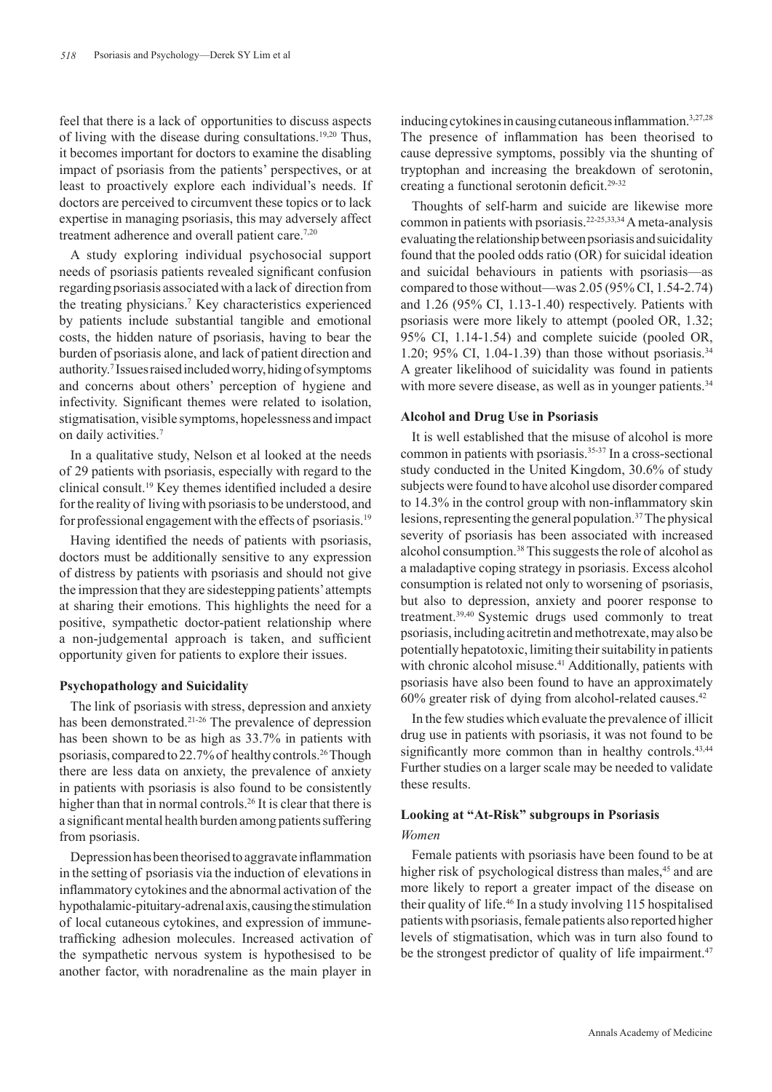feel that there is a lack of opportunities to discuss aspects of living with the disease during consultations.19,20 Thus, it becomes important for doctors to examine the disabling impact of psoriasis from the patients' perspectives, or at least to proactively explore each individual's needs. If doctors are perceived to circumvent these topics or to lack expertise in managing psoriasis, this may adversely affect treatment adherence and overall patient care.<sup>7,20</sup>

A study exploring individual psychosocial support needs of  psoriasis patients revealed significant confusion regarding psoriasis associated with a lack of direction from the treating physicians.7 Key characteristics experienced by patients include substantial tangible and emotional costs, the hidden nature of psoriasis, having to bear the burden of psoriasis alone, and lack of patient direction and authority.<sup>7</sup> Issues raised included worry, hiding of symptoms and concerns about others' perception of hygiene and infectivity. Significant themes were related to isolation, stigmatisation, visible symptoms, hopelessness and impact on daily activities.7

In a qualitative study, Nelson et al looked at the needs of  29 patients with psoriasis, especially with regard to the clinical consult.19 Key themes identified included a desire for the reality of living with psoriasis to be understood, and for professional engagement with the effects of psoriasis.19

Having identified the needs of patients with psoriasis, doctors must be additionally sensitive to any expression of distress by patients with psoriasis and should not give the impression that they are sidestepping patients' attempts at sharing their emotions. This highlights the need for a positive, sympathetic doctor-patient relationship where a non-judgemental approach is taken, and sufficient opportunity given for patients to explore their issues.

#### **Psychopathology and Suicidality**

The link of psoriasis with stress, depression and anxiety has been demonstrated.21-26 The prevalence of depression has been shown to be as high as 33.7% in patients with psoriasis, compared to 22.7% of healthy controls.26 Though there are less data on anxiety, the prevalence of anxiety in patients with psoriasis is also found to be consistently higher than that in normal controls.<sup>26</sup> It is clear that there is a significant mental health burden among patients suffering from psoriasis.

Depression has been theorised to aggravate inflammation in the setting of psoriasis via the induction of elevations in inflammatory cytokines and the abnormal activation of the hypothalamic-pituitary-adrenal axis, causing the stimulation of  local cutaneous cytokines, and expression of immunetrafficking adhesion molecules. Increased activation of the sympathetic nervous system is hypothesised to be another factor, with noradrenaline as the main player in

inducing cytokines in causing cutaneous inflammation.3,27,28 The presence of inflammation has been theorised to cause depressive symptoms, possibly via the shunting of tryptophan and increasing the breakdown of serotonin, creating a functional serotonin deficit.29-32

Thoughts of self-harm and suicide are likewise more common in patients with psoriasis.22-25,33,34 A meta-analysis evaluating the relationship between psoriasis and suicidality found that the pooled odds ratio (OR) for suicidal ideation and suicidal behaviours in patients with psoriasis—as compared to those without—was 2.05 (95% CI, 1.54-2.74) and 1.26 (95% CI, 1.13-1.40) respectively. Patients with psoriasis were more likely to attempt (pooled OR, 1.32; 95% CI, 1.14-1.54) and complete suicide (pooled OR, 1.20; 95% CI, 1.04-1.39) than those without psoriasis.<sup>34</sup> A greater likelihood of suicidality was found in patients with more severe disease, as well as in younger patients.<sup>34</sup>

## **Alcohol and Drug Use in Psoriasis**

It is well established that the misuse of alcohol is more common in patients with psoriasis.<sup>35-37</sup> In a cross-sectional study conducted in the United Kingdom, 30.6% of study subjects were found to have alcohol use disorder compared to 14.3% in the control group with non-inflammatory skin lesions, representing the general population.37 The physical severity of psoriasis has been associated with increased alcohol consumption.38 This suggests the role of alcohol as a maladaptive coping strategy in psoriasis. Excess alcohol consumption is related not only to worsening of psoriasis, but also to depression, anxiety and poorer response to treatment.39,40 Systemic drugs used commonly to treat psoriasis, including acitretin and methotrexate, may also be potentially hepatotoxic, limiting their suitability in patients with chronic alcohol misuse.<sup>41</sup> Additionally, patients with psoriasis have also been found to have an approximately 60% greater risk of dying from alcohol-related causes.42

In the few studies which evaluate the prevalence of illicit drug use in patients with psoriasis, it was not found to be significantly more common than in healthy controls.<sup>43,44</sup> Further studies on a larger scale may be needed to validate these results.

## **Looking at "At-Risk" subgroups in Psoriasis** *Women*

Female patients with psoriasis have been found to be at higher risk of psychological distress than males,<sup>45</sup> and are more likely to report a greater impact of the disease on their quality of life.46 In a study involving 115 hospitalised patients with psoriasis, female patients also reported higher levels of stigmatisation, which was in turn also found to be the strongest predictor of quality of life impairment.<sup>47</sup>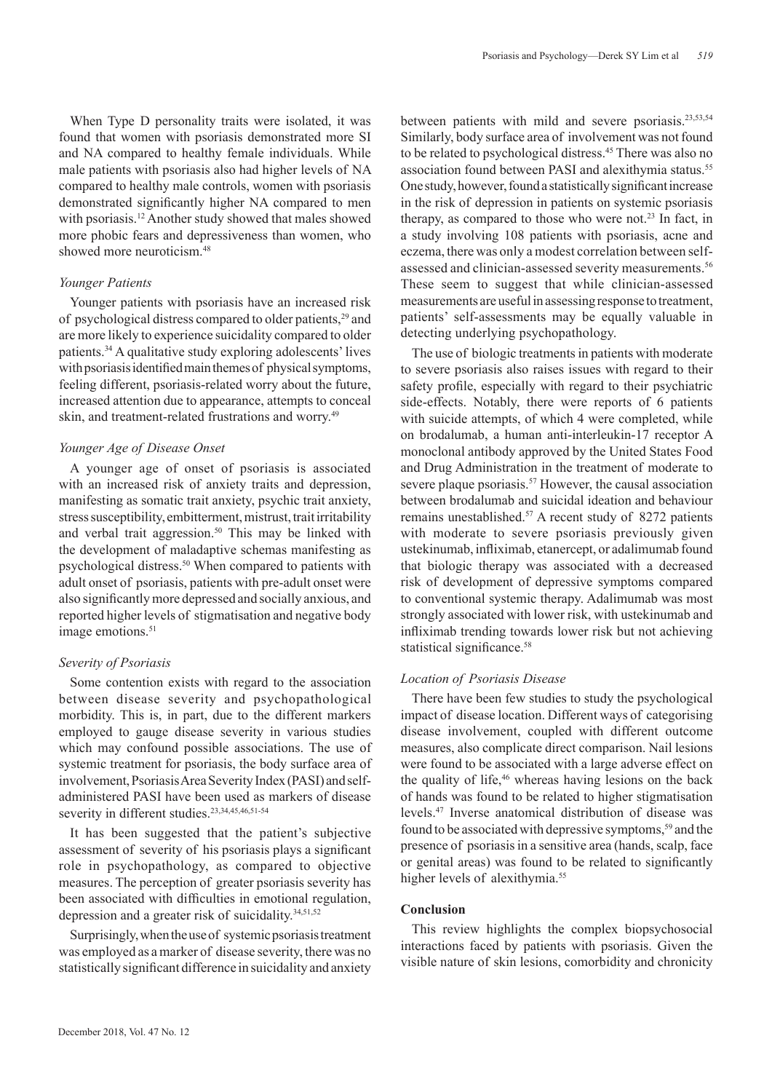When Type D personality traits were isolated, it was found that women with psoriasis demonstrated more SI and NA compared to healthy female individuals. While male patients with psoriasis also had higher levels of  NA compared to healthy male controls, women with psoriasis demonstrated significantly higher NA compared to men with psoriasis.<sup>12</sup> Another study showed that males showed more phobic fears and depressiveness than women, who showed more neuroticism.<sup>48</sup>

## *Younger Patients*

Younger patients with psoriasis have an increased risk of psychological distress compared to older patients,<sup>29</sup> and are more likely to experience suicidality compared to older patients.34 A qualitative study exploring adolescents' lives with psoriasis identified main themes of physical symptoms, feeling different, psoriasis-related worry about the future, increased attention due to appearance, attempts to conceal skin, and treatment-related frustrations and worry.49

## *Younger Age of  Disease Onset*

A younger age of onset of psoriasis is associated with an increased risk of anxiety traits and depression, manifesting as somatic trait anxiety, psychic trait anxiety, stress susceptibility, embitterment, mistrust, trait irritability and verbal trait aggression.<sup>50</sup> This may be linked with the development of maladaptive schemas manifesting as psychological distress.<sup>50</sup> When compared to patients with adult onset of psoriasis, patients with pre-adult onset were also significantly more depressed and socially anxious, and reported higher levels of stigmatisation and negative body image emotions.<sup>51</sup>

## *Severity of Psoriasis*

Some contention exists with regard to the association between disease severity and psychopathological morbidity. This is, in part, due to the different markers employed to gauge disease severity in various studies which may confound possible associations. The use of systemic treatment for psoriasis, the body surface area of involvement, Psoriasis Area Severity Index (PASI) and selfadministered PASI have been used as markers of disease severity in different studies.<sup>23,34,45,46,51-54</sup>

It has been suggested that the patient's subjective assessment of severity of his psoriasis plays a significant role in psychopathology, as compared to objective measures. The perception of greater psoriasis severity has been associated with difficulties in emotional regulation, depression and a greater risk of suicidality.<sup>34,51,52</sup>

Surprisingly, when the use of  systemic psoriasis treatment was employed as a marker of disease severity, there was no statistically significant difference in suicidality and anxiety

between patients with mild and severe psoriasis.<sup>23,53,54</sup> Similarly, body surface area of involvement was not found to be related to psychological distress.45 There was also no association found between PASI and alexithymia status.<sup>55</sup> One study, however, found a statistically significant increase in the risk of  depression in patients on systemic psoriasis therapy, as compared to those who were not.<sup>23</sup> In fact, in a study involving 108 patients with psoriasis, acne and eczema, there was only a modest correlation between selfassessed and clinician-assessed severity measurements.<sup>56</sup> These seem to suggest that while clinician-assessed measurements are useful in assessing response to treatment, patients' self-assessments may be equally valuable in detecting underlying psychopathology.

The use of biologic treatments in patients with moderate to severe psoriasis also raises issues with regard to their safety profile, especially with regard to their psychiatric side-effects. Notably, there were reports of 6 patients with suicide attempts, of which 4 were completed, while on brodalumab, a human anti-interleukin-17 receptor A monoclonal antibody approved by the United States Food and Drug Administration in the treatment of  moderate to severe plaque psoriasis.<sup>57</sup> However, the causal association between brodalumab and suicidal ideation and behaviour remains unestablished.57 A recent study of  8272 patients with moderate to severe psoriasis previously given ustekinumab, infliximab, etanercept, or adalimumab found that biologic therapy was associated with a decreased risk of development of depressive symptoms compared to conventional systemic therapy. Adalimumab was most strongly associated with lower risk, with ustekinumab and infliximab trending towards lower risk but not achieving statistical significance.<sup>58</sup>

## *Location of Psoriasis Disease*

There have been few studies to study the psychological impact of disease location. Different ways of categorising disease involvement, coupled with different outcome measures, also complicate direct comparison. Nail lesions were found to be associated with a large adverse effect on the quality of life,<sup>46</sup> whereas having lesions on the back of hands was found to be related to higher stigmatisation levels.47 Inverse anatomical distribution of disease was found to be associated with depressive symptoms,<sup>59</sup> and the presence of psoriasis in a sensitive area (hands, scalp, face or genital areas) was found to be related to significantly higher levels of alexithymia.<sup>55</sup>

## **Conclusion**

This review highlights the complex biopsychosocial interactions faced by patients with psoriasis. Given the visible nature of  skin lesions, comorbidity and chronicity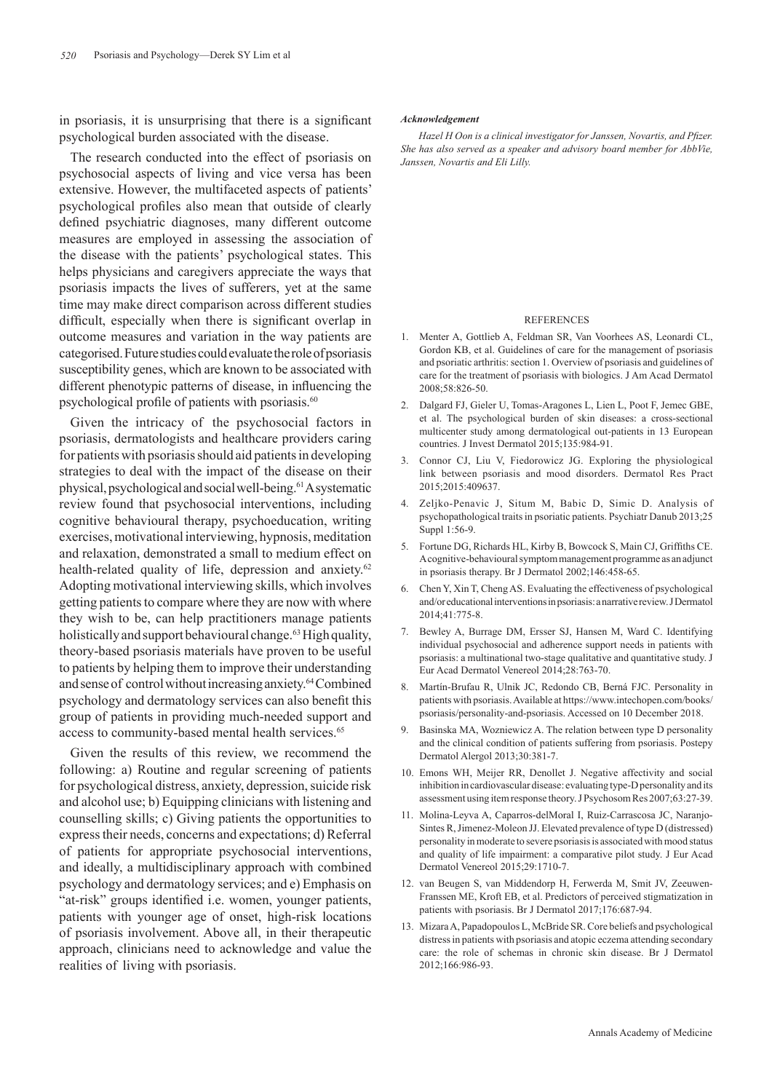in psoriasis, it is unsurprising that there is a significant psychological burden associated with the disease.

The research conducted into the effect of  psoriasis on psychosocial aspects of living and vice versa has been extensive. However, the multifaceted aspects of patients' psychological profiles also mean that outside of clearly defined psychiatric diagnoses, many different outcome measures are employed in assessing the association of the disease with the patients' psychological states. This helps physicians and caregivers appreciate the ways that psoriasis impacts the lives of sufferers, yet at the same time may make direct comparison across different studies difficult, especially when there is significant overlap in outcome measures and variation in the way patients are categorised. Future studies could evaluate the role of psoriasis susceptibility genes, which are known to be associated with different phenotypic patterns of  disease, in influencing the psychological profile of patients with psoriasis.<sup>60</sup>

Given the intricacy of the psychosocial factors in psoriasis, dermatologists and healthcare providers caring for patients with psoriasis should aid patients in developing strategies to deal with the impact of  the disease on their physical, psychological and social well-being.61 A systematic review found that psychosocial interventions, including cognitive behavioural therapy, psychoeducation, writing exercises, motivational interviewing, hypnosis, meditation and relaxation, demonstrated a small to medium effect on health-related quality of life, depression and anxiety.<sup>62</sup> Adopting motivational interviewing skills, which involves getting patients to compare where they are now with where they wish to be, can help practitioners manage patients holistically and support behavioural change.<sup>63</sup> High quality, theory-based psoriasis materials have proven to be useful to patients by helping them to improve their understanding and sense of control without increasing anxiety.64 Combined psychology and dermatology services can also benefit this group of patients in providing much-needed support and access to community-based mental health services.<sup>65</sup>

Given the results of this review, we recommend the following: a) Routine and regular screening of patients for psychological distress, anxiety, depression, suicide risk and alcohol use; b) Equipping clinicians with listening and counselling skills; c) Giving patients the opportunities to express their needs, concerns and expectations; d) Referral of patients for appropriate psychosocial interventions, and ideally, a multidisciplinary approach with combined psychology and dermatology services; and e) Emphasis on "at-risk" groups identified i.e. women, younger patients, patients with younger age of onset, high-risk locations of psoriasis involvement. Above all, in their therapeutic approach, clinicians need to acknowledge and value the realities of living with psoriasis.

#### *Acknowledgement*

*Hazel H Oon is a clinical investigator for Janssen, Novartis, and Pfizer. She has also served as a speaker and advisory board member for AbbVie, Janssen, Novartis and Eli Lilly.*

#### **REFERENCES**

- 1. Menter A, Gottlieb A, Feldman SR, Van Voorhees AS, Leonardi CL, Gordon KB, et al. Guidelines of care for the management of psoriasis and psoriatic arthritis: section 1. Overview of psoriasis and guidelines of care for the treatment of psoriasis with biologics. J Am Acad Dermatol 2008;58:826-50.
- 2. Dalgard FJ, Gieler U, Tomas-Aragones L, Lien L, Poot F, Jemec GBE, et al. The psychological burden of skin diseases: a cross-sectional multicenter study among dermatological out-patients in 13 European countries. J Invest Dermatol 2015;135:984-91.
- 3. Connor CJ, Liu V, Fiedorowicz JG. Exploring the physiological link between psoriasis and mood disorders. Dermatol Res Pract 2015;2015:409637.
- 4. Zeljko-Penavic J, Situm M, Babic D, Simic D. Analysis of psychopathological traits in psoriatic patients. Psychiatr Danub 2013;25 Suppl 1:56-9.
- 5. Fortune DG, Richards HL, Kirby B, Bowcock S, Main CJ, Griffiths CE. A cognitive-behavioural symptom management programme as an adjunct in psoriasis therapy. Br J Dermatol 2002;146:458-65.
- 6. Chen Y, Xin T, Cheng AS. Evaluating the effectiveness of psychological and/or educational interventions in psoriasis: a narrative review. J Dermatol 2014;41:775-8.
- 7. Bewley A, Burrage DM, Ersser SJ, Hansen M, Ward C. Identifying individual psychosocial and adherence support needs in patients with psoriasis: a multinational two-stage qualitative and quantitative study. J Eur Acad Dermatol Venereol 2014;28:763-70.
- 8. Martín-Brufau R, Ulnik JC, Redondo CB, Berná FJC. Personality in patients with psoriasis. Available at https://www.intechopen.com/books/ psoriasis/personality-and-psoriasis. Accessed on 10 December 2018.
- 9. Basinska MA, Wozniewicz A. The relation between type D personality and the clinical condition of patients suffering from psoriasis. Postepy Dermatol Alergol 2013;30:381-7.
- 10. Emons WH, Meijer RR, Denollet J. Negative affectivity and social inhibition in cardiovascular disease: evaluating type-D personality and its assessment using item response theory. J Psychosom Res 2007;63:27-39.
- 11. Molina-Leyva A, Caparros-delMoral I, Ruiz-Carrascosa JC, Naranjo-Sintes R, Jimenez-Moleon JJ. Elevated prevalence of type D (distressed) personality in moderate to severe psoriasis is associated with mood status and quality of life impairment: a comparative pilot study. J Eur Acad Dermatol Venereol 2015;29:1710-7.
- 12. van Beugen S, van Middendorp H, Ferwerda M, Smit JV, Zeeuwen-Franssen ME, Kroft EB, et al. Predictors of perceived stigmatization in patients with psoriasis. Br J Dermatol 2017;176:687-94.
- 13. Mizara A, Papadopoulos L, McBride SR. Core beliefs and psychological distress in patients with psoriasis and atopic eczema attending secondary care: the role of schemas in chronic skin disease. Br J Dermatol 2012;166:986-93.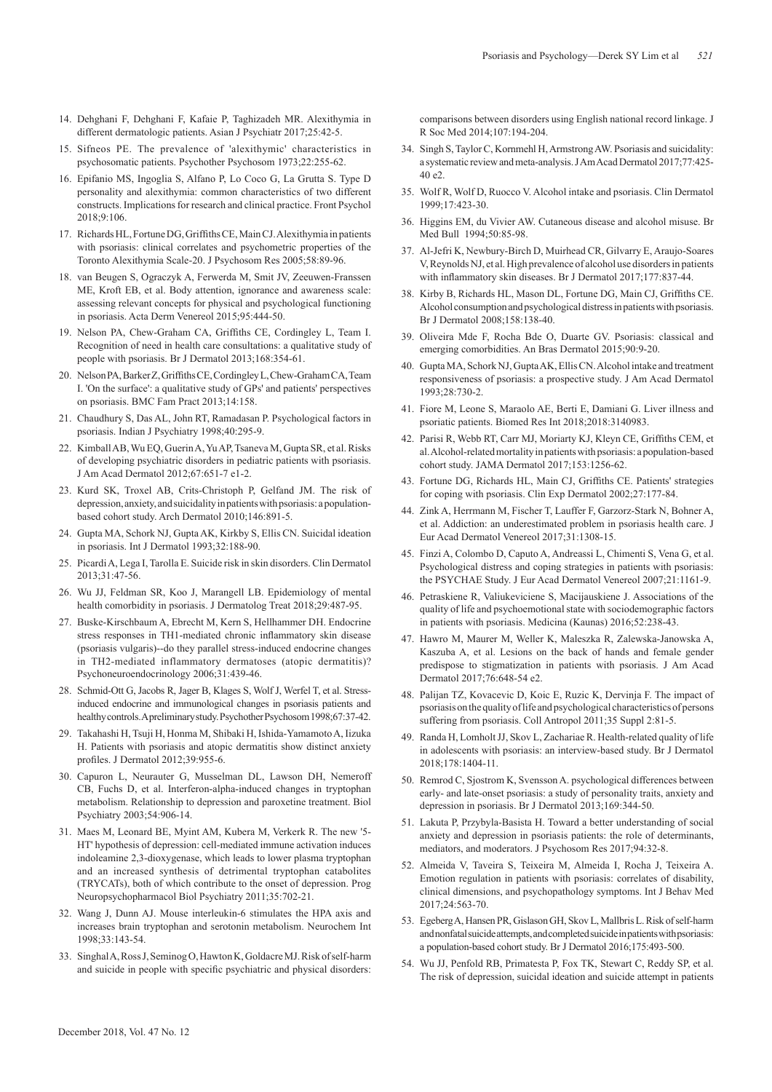- 14. Dehghani F, Dehghani F, Kafaie P, Taghizadeh MR. Alexithymia in different dermatologic patients. Asian J Psychiatr 2017;25:42-5.
- 15. Sifneos PE. The prevalence of 'alexithymic' characteristics in psychosomatic patients. Psychother Psychosom 1973;22:255-62.
- 16. Epifanio MS, Ingoglia S, Alfano P, Lo Coco G, La Grutta S. Type D personality and alexithymia: common characteristics of two different constructs. Implications for research and clinical practice. Front Psychol 2018;9:106.
- 17. Richards HL, Fortune DG, Griffiths CE, Main CJ. Alexithymia in patients with psoriasis: clinical correlates and psychometric properties of the Toronto Alexithymia Scale-20. J Psychosom Res 2005;58:89-96.
- 18. van Beugen S, Ograczyk A, Ferwerda M, Smit JV, Zeeuwen-Franssen ME, Kroft EB, et al. Body attention, ignorance and awareness scale: assessing relevant concepts for physical and psychological functioning in psoriasis. Acta Derm Venereol 2015;95:444-50.
- 19. Nelson PA, Chew-Graham CA, Griffiths CE, Cordingley L, Team I. Recognition of need in health care consultations: a qualitative study of people with psoriasis. Br J Dermatol 2013;168:354-61.
- 20. Nelson PA, Barker Z, Griffiths CE, Cordingley L, Chew-Graham CA, Team I. 'On the surface': a qualitative study of GPs' and patients' perspectives on psoriasis. BMC Fam Pract 2013;14:158.
- 21. Chaudhury S, Das AL, John RT, Ramadasan P. Psychological factors in psoriasis. Indian J Psychiatry 1998;40:295-9.
- 22. Kimball AB, Wu EQ, Guerin A, Yu AP, Tsaneva M, Gupta SR, et al. Risks of developing psychiatric disorders in pediatric patients with psoriasis. J Am Acad Dermatol 2012;67:651-7 e1-2.
- 23. Kurd SK, Troxel AB, Crits-Christoph P, Gelfand JM. The risk of depression, anxiety, and suicidality in patients with psoriasis: a populationbased cohort study. Arch Dermatol 2010;146:891-5.
- 24. Gupta MA, Schork NJ, Gupta AK, Kirkby S, Ellis CN. Suicidal ideation in psoriasis. Int J Dermatol 1993;32:188-90.
- 25. Picardi A, Lega I, Tarolla E. Suicide risk in skin disorders. Clin Dermatol 2013;31:47-56.
- 26. Wu JJ, Feldman SR, Koo J, Marangell LB. Epidemiology of mental health comorbidity in psoriasis. J Dermatolog Treat 2018;29:487-95.
- 27. Buske-Kirschbaum A, Ebrecht M, Kern S, Hellhammer DH. Endocrine stress responses in TH1-mediated chronic inflammatory skin disease (psoriasis vulgaris)--do they parallel stress-induced endocrine changes in TH2-mediated inflammatory dermatoses (atopic dermatitis)? Psychoneuroendocrinology 2006;31:439-46.
- 28. Schmid-Ott G, Jacobs R, Jager B, Klages S, Wolf J, Werfel T, et al. Stressinduced endocrine and immunological changes in psoriasis patients and healthy controls. A preliminary study. Psychother Psychosom 1998;67:37-42.
- 29. Takahashi H, Tsuji H, Honma M, Shibaki H, Ishida-Yamamoto A, Iizuka H. Patients with psoriasis and atopic dermatitis show distinct anxiety profiles. J Dermatol 2012;39:955-6.
- 30. Capuron L, Neurauter G, Musselman DL, Lawson DH, Nemeroff CB, Fuchs D, et al. Interferon-alpha-induced changes in tryptophan metabolism. Relationship to depression and paroxetine treatment. Biol Psychiatry 2003;54:906-14.
- 31. Maes M, Leonard BE, Myint AM, Kubera M, Verkerk R. The new '5- HT' hypothesis of depression: cell-mediated immune activation induces indoleamine 2,3-dioxygenase, which leads to lower plasma tryptophan and an increased synthesis of detrimental tryptophan catabolites (TRYCATs), both of which contribute to the onset of depression. Prog Neuropsychopharmacol Biol Psychiatry 2011;35:702-21.
- 32. Wang J, Dunn AJ. Mouse interleukin-6 stimulates the HPA axis and increases brain tryptophan and serotonin metabolism. Neurochem Int 1998;33:143-54.
- 33. Singhal A, Ross J, Seminog O, Hawton K, Goldacre MJ. Risk of self-harm and suicide in people with specific psychiatric and physical disorders:

comparisons between disorders using English national record linkage. J R Soc Med 2014;107:194-204.

- 34. Singh S, Taylor C, Kornmehl H, Armstrong AW. Psoriasis and suicidality: a systematic review and meta-analysis. J Am Acad Dermatol 2017;77:425- 40 e2.
- 35. Wolf R, Wolf D, Ruocco V. Alcohol intake and psoriasis. Clin Dermatol 1999;17:423-30.
- 36. Higgins EM, du Vivier AW. Cutaneous disease and alcohol misuse. Br Med Bull 1994;50:85-98.
- 37. Al-Jefri K, Newbury-Birch D, Muirhead CR, Gilvarry E, Araujo-Soares V, Reynolds NJ, et al. High prevalence of alcohol use disorders in patients with inflammatory skin diseases. Br J Dermatol 2017;177:837-44.
- 38. Kirby B, Richards HL, Mason DL, Fortune DG, Main CJ, Griffiths CE. Alcohol consumption and psychological distress in patients with psoriasis. Br J Dermatol 2008;158:138-40.
- 39. Oliveira Mde F, Rocha Bde O, Duarte GV. Psoriasis: classical and emerging comorbidities. An Bras Dermatol 2015;90:9-20.
- 40. Gupta MA, Schork NJ, Gupta AK, Ellis CN. Alcohol intake and treatment responsiveness of psoriasis: a prospective study. J Am Acad Dermatol 1993;28:730-2.
- 41. Fiore M, Leone S, Maraolo AE, Berti E, Damiani G. Liver illness and psoriatic patients. Biomed Res Int 2018;2018:3140983.
- 42. Parisi R, Webb RT, Carr MJ, Moriarty KJ, Kleyn CE, Griffiths CEM, et al. Alcohol-related mortality in patients with psoriasis: a population-based cohort study. JAMA Dermatol 2017;153:1256-62.
- 43. Fortune DG, Richards HL, Main CJ, Griffiths CE. Patients' strategies for coping with psoriasis. Clin Exp Dermatol 2002;27:177-84.
- 44. Zink A, Herrmann M, Fischer T, Lauffer F, Garzorz-Stark N, Bohner A, et al. Addiction: an underestimated problem in psoriasis health care. J Eur Acad Dermatol Venereol 2017;31:1308-15.
- 45. Finzi A, Colombo D, Caputo A, Andreassi L, Chimenti S, Vena G, et al. Psychological distress and coping strategies in patients with psoriasis: the PSYCHAE Study. J Eur Acad Dermatol Venereol 2007;21:1161-9.
- 46. Petraskiene R, Valiukeviciene S, Macijauskiene J. Associations of the quality of life and psychoemotional state with sociodemographic factors in patients with psoriasis. Medicina (Kaunas) 2016;52:238-43.
- 47. Hawro M, Maurer M, Weller K, Maleszka R, Zalewska-Janowska A, Kaszuba A, et al. Lesions on the back of hands and female gender predispose to stigmatization in patients with psoriasis. J Am Acad Dermatol 2017;76:648-54 e2.
- 48. Palijan TZ, Kovacevic D, Koic E, Ruzic K, Dervinja F. The impact of psoriasis on the quality of life and psychological characteristics of persons suffering from psoriasis. Coll Antropol 2011;35 Suppl 2:81-5.
- 49. Randa H, Lomholt JJ, Skov L, Zachariae R. Health-related quality of life in adolescents with psoriasis: an interview-based study. Br J Dermatol 2018;178:1404-11.
- 50. Remrod C, Sjostrom K, Svensson A. psychological differences between early- and late-onset psoriasis: a study of personality traits, anxiety and depression in psoriasis. Br J Dermatol 2013;169:344-50.
- 51. Lakuta P, Przybyla-Basista H. Toward a better understanding of social anxiety and depression in psoriasis patients: the role of determinants, mediators, and moderators. J Psychosom Res 2017;94:32-8.
- 52. Almeida V, Taveira S, Teixeira M, Almeida I, Rocha J, Teixeira A. Emotion regulation in patients with psoriasis: correlates of disability, clinical dimensions, and psychopathology symptoms. Int J Behav Med 2017;24:563-70.
- 53. Egeberg A, Hansen PR, Gislason GH, Skov L, Mallbris L. Risk of self-harm and nonfatal suicide attempts, and completed suicide in patients with psoriasis: a population-based cohort study. Br J Dermatol 2016;175:493-500.
- 54. Wu JJ, Penfold RB, Primatesta P, Fox TK, Stewart C, Reddy SP, et al. The risk of depression, suicidal ideation and suicide attempt in patients